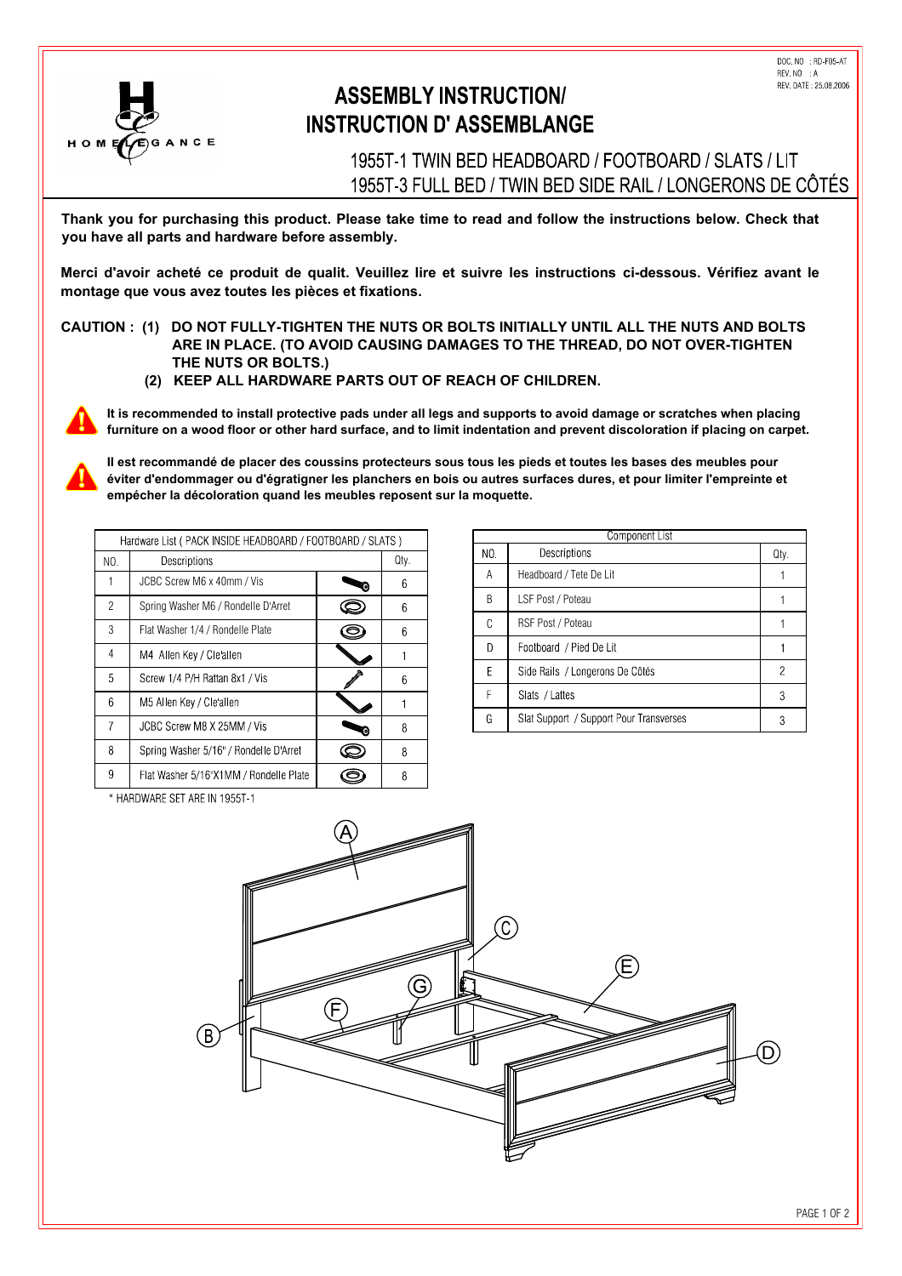

## **ASSEMBLY INSTRUCTION/ INSTRUCTION D' ASSEMBLANGE**

1955T-1 TWIN BED HEADBOARD / FOOTBOARD / SLATS / LIT 1955T-3 FULL BED / TWIN BED SIDE RAIL / LONGERONS DE CÔTÉS

Thank you for purchasing this product. Please take time to read and follow the instructions below. Check that **you have all parts and hardware before assembly.**

Merci d'avoir acheté ce produit de qualit. Veuillez lire et suivre les instructions ci-dessous. Vérifiez avant le montage que vous avez toutes les pièces et fixations.

**CAUTION : (1) DO NOT FULLY-TIGHTEN THE NUTS OR BOLTS INITIALLY UNTIL ALL THE NUTS AND BOLTS ARE IN PLACE. (TO AVOID CAUSING DAMAGES TO THE THREAD, DO NOT OVER-TIGHTEN THE NUTS OR BOLTS.)**

 **(2) KEEP ALL HARDWARE PARTS OUT OF REACH OF CHILDREN.**



 **It is recommended to install protective pads under all legs and supports to avoid damage or scratches when placing furniture on a wood floor or other hard surface, and to limit indentation and prevent discoloration if placing on carpet.**

Il est recommandé de placer des coussins protecteurs sous tous les pieds et toutes les bases des meubles pour **PLACE SURFALW EVITED IN EVITA CONDUCTS produce the surfaces of the surfaces dures**, et pour limiter l'empreinte et empécher la décoloration quand les meubles reposent sur la moquette.

| Hardware List (PACK INSIDE HEADBOARD / FOOTBOARD / SLATS) |                                        |  |      |
|-----------------------------------------------------------|----------------------------------------|--|------|
| NO.                                                       | Descriptions                           |  | Qty. |
|                                                           | JCBC Screw M6 x 40mm / Vis             |  | 6    |
| $\mathcal{P}$                                             | Spring Washer M6 / Rondelle D'Arret    |  | 6    |
| 3                                                         | Flat Washer 1/4 / Rondelle Plate       |  | 6    |
| 4                                                         | M4 Allen Key / Cleallen                |  |      |
| 5                                                         | Screw 1/4 P/H Rattan 8x1 / Vis         |  | 6    |
| 6                                                         | M5 Allen Key / Cle'allen               |  |      |
| 7                                                         | JCBC Screw M8 X 25MM / Vis             |  | 8    |
| 8                                                         | Spring Washer 5/16" / Rondelle D'Arret |  | 8    |
| 9                                                         | Flat Washer 5/16"X1MM / Rondelle Plate |  | 8    |

| Component List |                                         |      |  |  |
|----------------|-----------------------------------------|------|--|--|
| NO.            | Descriptions                            | Qty. |  |  |
| A              | Headboard / Tete De Lit                 |      |  |  |
| B              | LSF Post / Poteau                       |      |  |  |
| C              | RSF Post / Poteau                       |      |  |  |
| D              | Footboard / Pied De Lit                 |      |  |  |
| F              | Side Rails / Longerons De Côtés         | 2    |  |  |
| F              | Slats / Lattes                          | 3    |  |  |
| G              | Slat Support / Support Pour Transverses | 3    |  |  |

\* HARDWARE SET ARE IN 1955T-1